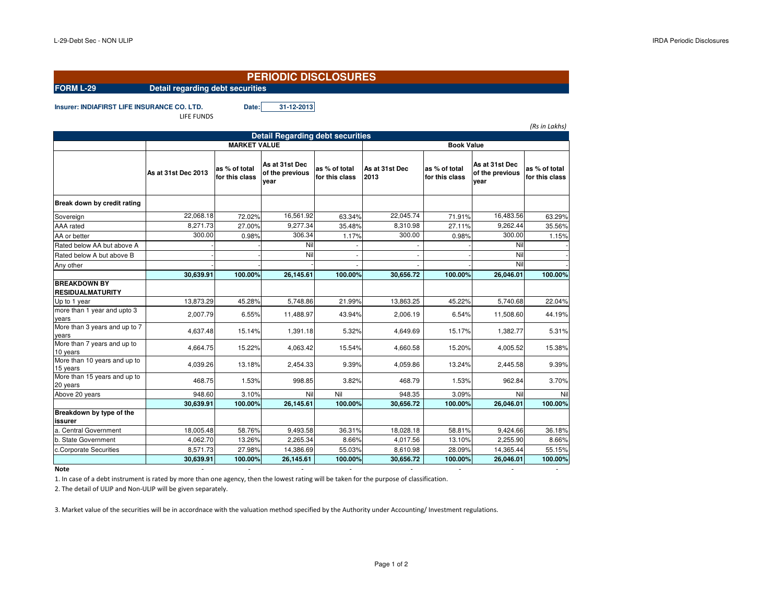## **PERIODIC DISCLOSURES**

**FORM L-29 Detail regarding debt securities**

**Insurer: INDIAFIRST LIFE INSURANCE CO. LTD. Date: 31-12-2013**LIFE FUNDS

| (Rs in Lakhs)                                  |                     |                                 |                                           |                                 |                        |                                 |                                           |                                 |  |  |  |  |
|------------------------------------------------|---------------------|---------------------------------|-------------------------------------------|---------------------------------|------------------------|---------------------------------|-------------------------------------------|---------------------------------|--|--|--|--|
| <b>Detail Regarding debt securities</b>        |                     |                                 |                                           |                                 |                        |                                 |                                           |                                 |  |  |  |  |
|                                                |                     | <b>MARKET VALUE</b>             |                                           |                                 | <b>Book Value</b>      |                                 |                                           |                                 |  |  |  |  |
|                                                | As at 31st Dec 2013 | as % of total<br>for this class | As at 31st Dec<br>of the previous<br>vear | as % of total<br>for this class | As at 31st Dec<br>2013 | as % of total<br>for this class | As at 31st Dec<br>of the previous<br>year | as % of total<br>for this class |  |  |  |  |
| Break down by credit rating                    |                     |                                 |                                           |                                 |                        |                                 |                                           |                                 |  |  |  |  |
| Sovereign                                      | 22.068.18           | 72.02%                          | 16,561.92                                 | 63.34%                          | 22.045.74              | 71.91%                          | 16,483.56                                 | 63.29%                          |  |  |  |  |
| AAA rated                                      | 8,271.73            | 27.00%                          | 9,277.34                                  | 35.48%                          | 8,310.98               | 27.11%                          | 9,262.44                                  | 35.56%                          |  |  |  |  |
| AA or better                                   | 300.00              | 0.98%                           | 306.34                                    | 1.17%                           | 300.00                 | 0.98%                           | 300.00                                    | 1.15%                           |  |  |  |  |
| Rated below AA but above A                     |                     |                                 | Nil                                       |                                 |                        |                                 | Nil                                       |                                 |  |  |  |  |
| Rated below A but above B                      |                     |                                 | Nil                                       |                                 |                        |                                 | Nil                                       |                                 |  |  |  |  |
| Any other                                      |                     |                                 |                                           |                                 |                        |                                 | Nil                                       |                                 |  |  |  |  |
|                                                | 30,639.91           | 100.00%                         | 26,145.61                                 | 100.00%                         | 30,656.72              | 100.00%                         | 26,046.01                                 | 100.00%                         |  |  |  |  |
| <b>BREAKDOWN BY</b><br><b>RESIDUALMATURITY</b> |                     |                                 |                                           |                                 |                        |                                 |                                           |                                 |  |  |  |  |
| Up to 1 year                                   | 13.873.29           | 45.28%                          | 5.748.86                                  | 21.99%                          | 13.863.25              | 45.22%                          | 5.740.68                                  | 22.04%                          |  |  |  |  |
| more than 1 year and upto 3<br>years           | 2,007.79            | 6.55%                           | 11,488.97                                 | 43.94%                          | 2,006.19               | 6.54%                           | 11,508.60                                 | 44.19%                          |  |  |  |  |
| More than 3 years and up to 7<br>vears         | 4,637.48            | 15.14%                          | 1,391.18                                  | 5.32%                           | 4,649.69               | 15.17%                          | 1,382.77                                  | 5.31%                           |  |  |  |  |
| More than 7 years and up to<br>10 years        | 4,664.75            | 15.22%                          | 4,063.42                                  | 15.54%                          | 4,660.58               | 15.20%                          | 4,005.52                                  | 15.38%                          |  |  |  |  |
| More than 10 years and up to<br>15 years       | 4,039.26            | 13.18%                          | 2,454.33                                  | 9.39%                           | 4,059.86               | 13.24%                          | 2,445.58                                  | 9.39%                           |  |  |  |  |
| More than 15 years and up to<br>20 years       | 468.75              | 1.53%                           | 998.85                                    | 3.82%                           | 468.79                 | 1.53%                           | 962.84                                    | 3.70%                           |  |  |  |  |
| Above 20 years                                 | 948.60              | 3.10%                           | Nil                                       | Nil                             | 948.35                 | 3.09%                           | Nil                                       | Nil                             |  |  |  |  |
|                                                | 30,639.91           | 100.00%                         | 26,145.61                                 | 100.00%                         | 30,656.72              | 100.00%                         | 26,046.01                                 | 100.00%                         |  |  |  |  |
| Breakdown by type of the<br>issurer            |                     |                                 |                                           |                                 |                        |                                 |                                           |                                 |  |  |  |  |
| a. Central Government                          | 18,005.48           | 58.76%                          | 9,493.58                                  | 36.31%                          | 18,028.18              | 58.81%                          | 9,424.66                                  | 36.18%                          |  |  |  |  |
| b. State Government                            | 4,062.70            | 13.26%                          | 2,265.34                                  | 8.66%                           | 4,017.56               | 13.10%                          | 2,255.90                                  | 8.66%                           |  |  |  |  |
| c.Corporate Securities                         | 8,571.73            | 27.98%                          | 14,386.69                                 | 55.03%                          | 8,610.98               | 28.09%                          | 14,365.44                                 | 55.15%                          |  |  |  |  |
|                                                | 30,639.91           | 100.00%                         | 26,145.61                                 | 100.00%                         | 30,656.72              | 100.00%                         | 26,046.01                                 | 100.00%                         |  |  |  |  |

1. In case of a debt instrument is rated by more than one agency, then the lowest rating will be taken for the purpose of classification.

2. The detail of ULIP and Non-ULIP will be given separately.

3. Market value of the securities will be in accordnace with the valuation method specified by the Authority under Accounting/ Investment regulations.